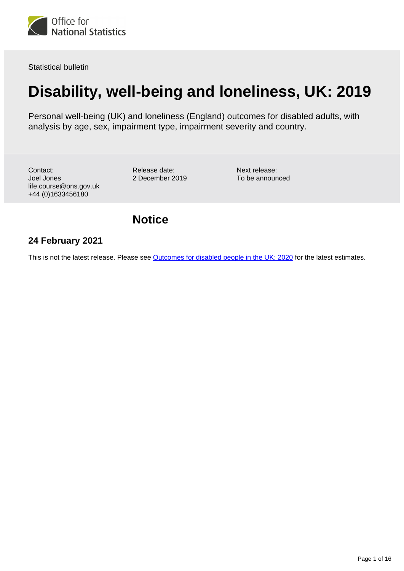

Statistical bulletin

# **Disability, well-being and loneliness, UK: 2019**

Personal well-being (UK) and loneliness (England) outcomes for disabled adults, with analysis by age, sex, impairment type, impairment severity and country.

Contact: Joel Jones life.course@ons.gov.uk +44 (0)1633456180

Release date: 2 December 2019

Next release: To be announced

**Notice**

## **24 February 2021**

This is not the latest release. Please see [Outcomes for disabled people in the UK: 2020](https://www.ons.gov.uk/peoplepopulationandcommunity/healthandsocialcare/disability/articles/outcomesfordisabledpeopleintheuk/2020) for the latest estimates.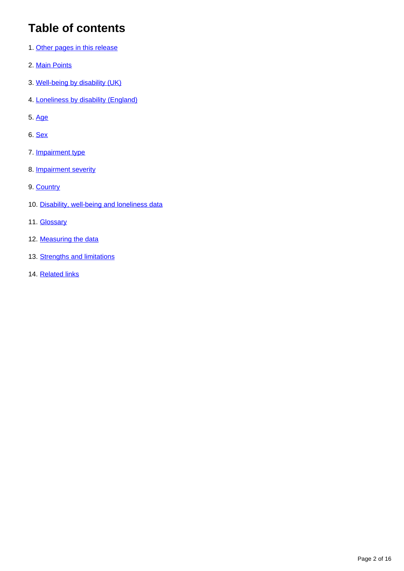# **Table of contents**

- 1. [Other pages in this release](#page-2-0)
- 2. [Main Points](#page-2-1)
- 3. [Well-being by disability \(UK\)](#page-3-0)
- 4. [Loneliness by disability \(England\)](#page-4-0)
- 5. [Age](#page-5-0)
- 6. [Sex](#page-6-0)
- 7. **[Impairment type](#page-8-0)**
- 8. **[Impairment severity](#page-9-0)**
- 9. [Country](#page-10-0)
- 10. [Disability, well-being and loneliness data](#page-10-1)
- 11. **[Glossary](#page-11-0)**
- 12. [Measuring the data](#page-12-0)
- 13. [Strengths and limitations](#page-13-0)
- 14. [Related links](#page-15-0)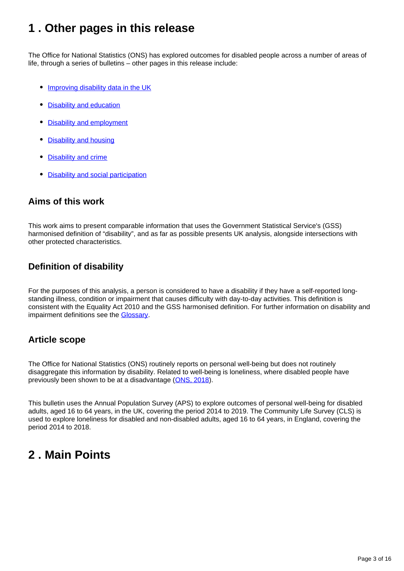# <span id="page-2-0"></span>**1 . Other pages in this release**

The Office for National Statistics (ONS) has explored outcomes for disabled people across a number of areas of life, through a series of bulletins – other pages in this release include:

- [Improving disability data in the UK](https://www.ons.gov.uk/peoplepopulationandcommunity/healthandsocialcare/disability/articles/improvingdisabilitydataintheuk/2019)
- [Disability and education](https://www.ons.gov.uk/peoplepopulationandcommunity/healthandsocialcare/disability/bulletins/disabilityandeducationuk/2019)
- [Disability and employment](https://www.ons.gov.uk/peoplepopulationandcommunity/healthandsocialcare/disability/bulletins/disabilityandemploymentuk/2019)
- [Disability and housing](https://www.ons.gov.uk/peoplepopulationandcommunity/healthandsocialcare/disability/bulletins/disabilityandhousinguk/2019)
- [Disability and crime](https://www.ons.gov.uk/peoplepopulationandcommunity/healthandsocialcare/disability/bulletins/disabilityandcrimeuk/2019)
- [Disability and social participation](https://www.ons.gov.uk/peoplepopulationandcommunity/healthandsocialcare/disability/bulletins/disabilityandsocialparticipationengland/2018)

## **Aims of this work**

This work aims to present comparable information that uses the Government Statistical Service's (GSS) harmonised definition of "disability", and as far as possible presents UK analysis, alongside intersections with other protected characteristics.

## **Definition of disability**

For the purposes of this analysis, a person is considered to have a disability if they have a self-reported longstanding illness, condition or impairment that causes difficulty with day-to-day activities. This definition is consistent with the Equality Act 2010 and the GSS harmonised definition. For further information on disability and impairment definitions see the **[Glossary](https://www.ons.gov.uk/peoplepopulationandcommunity/healthandsocialcare/disability/bulletins/disabilitywellbeingandlonelinessuk/2019#glossary)**.

## **Article scope**

The Office for National Statistics (ONS) routinely reports on personal well-being but does not routinely disaggregate this information by disability. Related to well-being is loneliness, where disabled people have previously been shown to be at a disadvantage [\(ONS, 2018](https://www.ons.gov.uk/peoplepopulationandcommunity/wellbeing/articles/lonelinesswhatcharacteristicsandcircumstancesareassociatedwithfeelinglonely/2018-04-10)).

This bulletin uses the Annual Population Survey (APS) to explore outcomes of personal well-being for disabled adults, aged 16 to 64 years, in the UK, covering the period 2014 to 2019. The Community Life Survey (CLS) is used to explore loneliness for disabled and non-disabled adults, aged 16 to 64 years, in England, covering the period 2014 to 2018.

# <span id="page-2-1"></span>**2 . Main Points**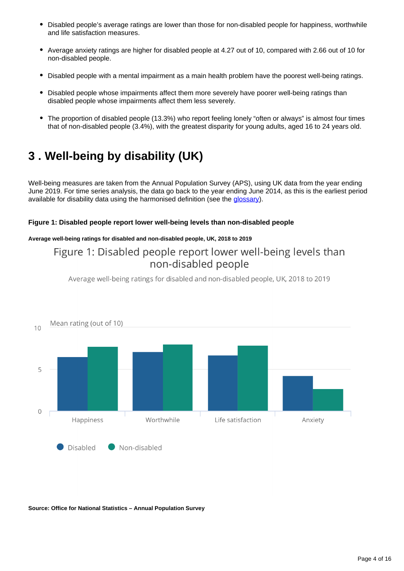- Disabled people's average ratings are lower than those for non-disabled people for happiness, worthwhile and life satisfaction measures.
- Average anxiety ratings are higher for disabled people at 4.27 out of 10, compared with 2.66 out of 10 for non-disabled people.
- Disabled people with a mental impairment as a main health problem have the poorest well-being ratings.
- Disabled people whose impairments affect them more severely have poorer well-being ratings than disabled people whose impairments affect them less severely.
- The proportion of disabled people (13.3%) who report feeling lonely "often or always" is almost four times that of non-disabled people (3.4%), with the greatest disparity for young adults, aged 16 to 24 years old.

# <span id="page-3-0"></span>**3 . Well-being by disability (UK)**

Well-being measures are taken from the Annual Population Survey (APS), using UK data from the year ending June 2019. For time series analysis, the data go back to the year ending June 2014, as this is the earliest period available for disability data using the harmonised definition (see the [glossary](https://www.ons.gov.uk/peoplepopulationandcommunity/healthandsocialcare/disability/bulletins/disabilitywellbeingandlonelinessuk/2019#glossary)).

### **Figure 1: Disabled people report lower well-being levels than non-disabled people**

### **Average well-being ratings for disabled and non-disabled people, UK, 2018 to 2019**

## Figure 1: Disabled people report lower well-being levels than non-disabled people

Average well-being ratings for disabled and non-disabled people, UK, 2018 to 2019



#### **Source: Office for National Statistics – Annual Population Survey**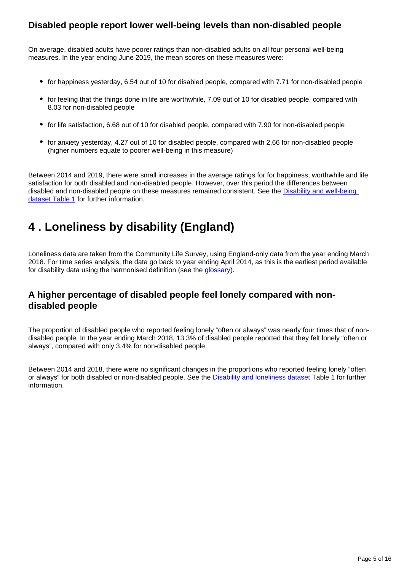## **Disabled people report lower well-being levels than non-disabled people**

On average, disabled adults have poorer ratings than non-disabled adults on all four personal well-being measures. In the year ending June 2019, the mean scores on these measures were:

- for happiness yesterday, 6.54 out of 10 for disabled people, compared with 7.71 for non-disabled people
- for feeling that the things done in life are worthwhile, 7.09 out of 10 for disabled people, compared with 8.03 for non-disabled people
- for life satisfaction, 6.68 out of 10 for disabled people, compared with 7.90 for non-disabled people
- for anxiety yesterday, 4.27 out of 10 for disabled people, compared with 2.66 for non-disabled people (higher numbers equate to poorer well-being in this measure)

Between 2014 and 2019, there were small increases in the average ratings for for happiness, worthwhile and life satisfaction for both disabled and non-disabled people. However, over this period the differences between disabled and non-disabled people on these measures remained consistent. See the [Disability and well-being](https://www.ons.gov.uk/peoplepopulationandcommunity/healthandsocialcare/disability/datasets/disabilityandwellbeing)  [dataset Table 1](https://www.ons.gov.uk/peoplepopulationandcommunity/healthandsocialcare/disability/datasets/disabilityandwellbeing) for further information.

# <span id="page-4-0"></span>**4 . Loneliness by disability (England)**

Loneliness data are taken from the Community Life Survey, using England-only data from the year ending March 2018. For time series analysis, the data go back to year ending April 2014, as this is the earliest period available for disability data using the harmonised definition (see the [glossary\)](https://www.ons.gov.uk/peoplepopulationandcommunity/healthandsocialcare/disability/bulletins/disabilitywellbeingandlonelinessuk/2019#glossary).

## **A higher percentage of disabled people feel lonely compared with nondisabled people**

The proportion of disabled people who reported feeling lonely "often or always" was nearly four times that of nondisabled people. In the year ending March 2018, 13.3% of disabled people reported that they felt lonely "often or always", compared with only 3.4% for non-disabled people.

Between 2014 and 2018, there were no significant changes in the proportions who reported feeling lonely "often or always" for both disabled or non-disabled people. See the [Disability and loneliness dataset](https://www.ons.gov.uk/peoplepopulationandcommunity/healthandsocialcare/disability/datasets/disabilityandloneliness) Table 1 for further information.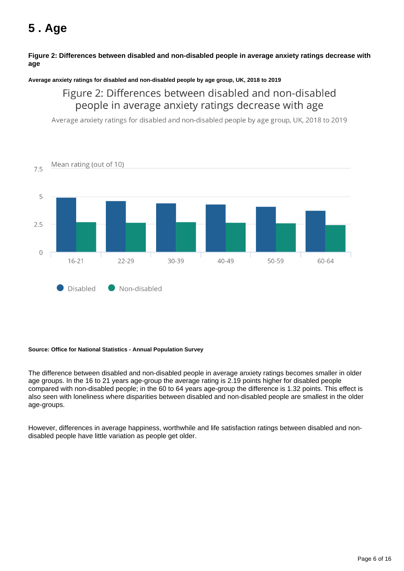# <span id="page-5-0"></span>**5 . Age**

### **Figure 2: Differences between disabled and non-disabled people in average anxiety ratings decrease with age**

### **Average anxiety ratings for disabled and non-disabled people by age group, UK, 2018 to 2019**

# Figure 2: Differences between disabled and non-disabled people in average anxiety ratings decrease with age

Average anxiety ratings for disabled and non-disabled people by age group, UK, 2018 to 2019



#### **Source: Office for National Statistics - Annual Population Survey**

The difference between disabled and non-disabled people in average anxiety ratings becomes smaller in older age groups. In the 16 to 21 years age-group the average rating is 2.19 points higher for disabled people compared with non-disabled people; in the 60 to 64 years age-group the difference is 1.32 points. This effect is also seen with loneliness where disparities between disabled and non-disabled people are smallest in the older age-groups.

However, differences in average happiness, worthwhile and life satisfaction ratings between disabled and nondisabled people have little variation as people get older.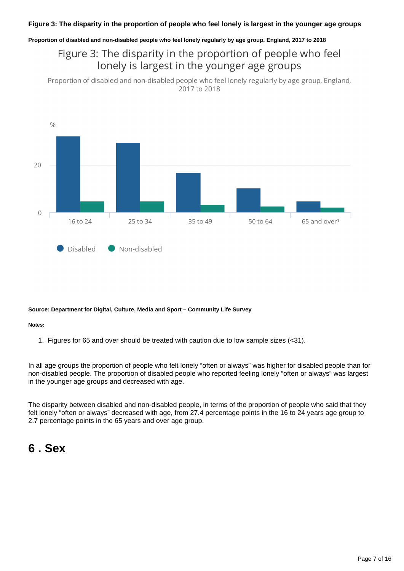#### **Proportion of disabled and non-disabled people who feel lonely regularly by age group, England, 2017 to 2018**

Figure 3: The disparity in the proportion of people who feel lonely is largest in the younger age groups

Proportion of disabled and non-disabled people who feel lonely regularly by age group, England, 2017 to 2018



#### **Source: Department for Digital, Culture, Media and Sport – Community Life Survey**

#### **Notes:**

1. Figures for 65 and over should be treated with caution due to low sample sizes (<31).

In all age groups the proportion of people who felt lonely "often or always" was higher for disabled people than for non-disabled people. The proportion of disabled people who reported feeling lonely "often or always" was largest in the younger age groups and decreased with age.

The disparity between disabled and non-disabled people, in terms of the proportion of people who said that they felt lonely "often or always" decreased with age, from 27.4 percentage points in the 16 to 24 years age group to 2.7 percentage points in the 65 years and over age group.

## <span id="page-6-0"></span>**6 . Sex**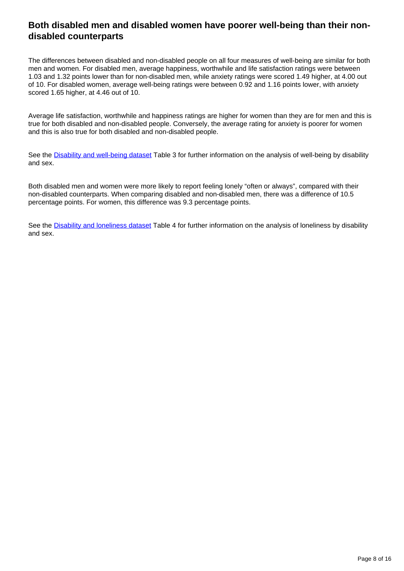## **Both disabled men and disabled women have poorer well-being than their nondisabled counterparts**

The differences between disabled and non-disabled people on all four measures of well-being are similar for both men and women. For disabled men, average happiness, worthwhile and life satisfaction ratings were between 1.03 and 1.32 points lower than for non-disabled men, while anxiety ratings were scored 1.49 higher, at 4.00 out of 10. For disabled women, average well-being ratings were between 0.92 and 1.16 points lower, with anxiety scored 1.65 higher, at 4.46 out of 10.

Average life satisfaction, worthwhile and happiness ratings are higher for women than they are for men and this is true for both disabled and non-disabled people. Conversely, the average rating for anxiety is poorer for women and this is also true for both disabled and non-disabled people.

See the **Disability and well-being dataset** Table 3 for further information on the analysis of well-being by disability and sex.

Both disabled men and women were more likely to report feeling lonely "often or always", compared with their non-disabled counterparts. When comparing disabled and non-disabled men, there was a difference of 10.5 percentage points. For women, this difference was 9.3 percentage points.

See the **Disability and loneliness dataset** Table 4 for further information on the analysis of loneliness by disability and sex.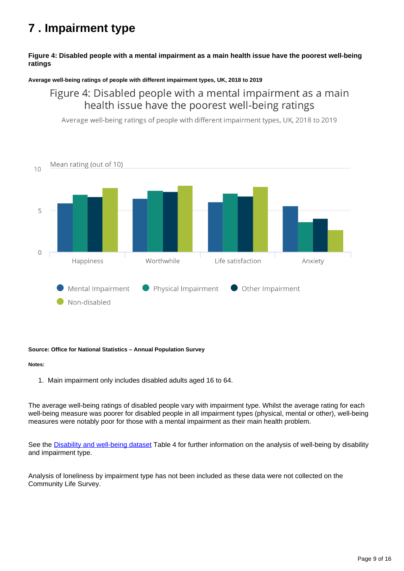# <span id="page-8-0"></span>**7 . Impairment type**

### **Figure 4: Disabled people with a mental impairment as a main health issue have the poorest well-being ratings**

### **Average well-being ratings of people with different impairment types, UK, 2018 to 2019**

## Figure 4: Disabled people with a mental impairment as a main health issue have the poorest well-being ratings

Average well-being ratings of people with different impairment types, UK, 2018 to 2019



#### **Source: Office for National Statistics – Annual Population Survey**

#### **Notes:**

1. Main impairment only includes disabled adults aged 16 to 64.

The average well-being ratings of disabled people vary with impairment type. Whilst the average rating for each well-being measure was poorer for disabled people in all impairment types (physical, mental or other), well-being measures were notably poor for those with a mental impairment as their main health problem.

See the **Disability and well-being dataset** Table 4 for further information on the analysis of well-being by disability and impairment type.

Analysis of loneliness by impairment type has not been included as these data were not collected on the Community Life Survey.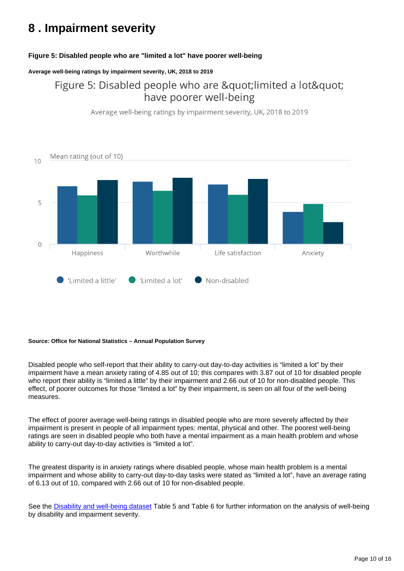# <span id="page-9-0"></span>**8 . Impairment severity**

### **Figure 5: Disabled people who are "limited a lot" have poorer well-being**

#### **Average well-being ratings by impairment severity, UK, 2018 to 2019**

## Figure 5: Disabled people who are & quot; limited a lot & quot; have poorer well-being





#### **Source: Office for National Statistics – Annual Population Survey**

Disabled people who self-report that their ability to carry-out day-to-day activities is "limited a lot" by their impairment have a mean anxiety rating of 4.85 out of 10; this compares with 3.87 out of 10 for disabled people who report their ability is "limited a little" by their impairment and 2.66 out of 10 for non-disabled people. This effect, of poorer outcomes for those "limited a lot" by their impairment, is seen on all four of the well-being measures.

The effect of poorer average well-being ratings in disabled people who are more severely affected by their impairment is present in people of all impairment types: mental, physical and other. The poorest well-being ratings are seen in disabled people who both have a mental impairment as a main health problem and whose ability to carry-out day-to-day activities is "limited a lot".

The greatest disparity is in anxiety ratings where disabled people, whose main health problem is a mental impairment and whose ability to carry-out day-to-day tasks were stated as "limited a lot", have an average rating of 6.13 out of 10, compared with 2.66 out of 10 for non-disabled people.

See the **Disability and well-being dataset** Table 5 and Table 6 for further information on the analysis of well-being by disability and impairment severity.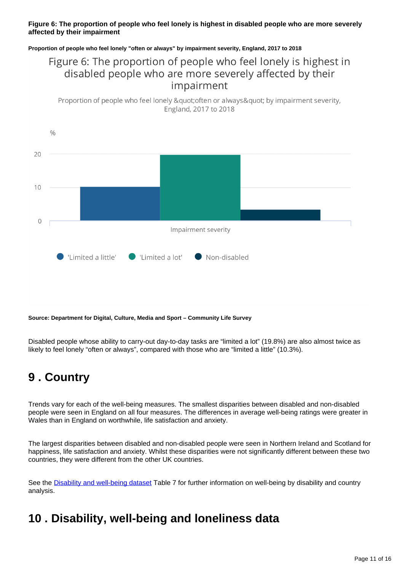### **Figure 6: The proportion of people who feel lonely is highest in disabled people who are more severely affected by their impairment**

**Proportion of people who feel lonely "often or always" by impairment severity, England, 2017 to 2018**

# Figure 6: The proportion of people who feel lonely is highest in disabled people who are more severely affected by their impairment

Proportion of people who feel lonely " often or always" by impairment severity, England, 2017 to 2018



#### **Source: Department for Digital, Culture, Media and Sport – Community Life Survey**

Disabled people whose ability to carry-out day-to-day tasks are "limited a lot" (19.8%) are also almost twice as likely to feel lonely "often or always", compared with those who are "limited a little" (10.3%).

# <span id="page-10-0"></span>**9 . Country**

Trends vary for each of the well-being measures. The smallest disparities between disabled and non-disabled people were seen in England on all four measures. The differences in average well-being ratings were greater in Wales than in England on worthwhile, life satisfaction and anxiety.

The largest disparities between disabled and non-disabled people were seen in Northern Ireland and Scotland for happiness, life satisfaction and anxiety. Whilst these disparities were not significantly different between these two countries, they were different from the other UK countries.

See the **Disability and well-being dataset** Table 7 for further information on well-being by disability and country analysis.

# <span id="page-10-1"></span>**10 . Disability, well-being and loneliness data**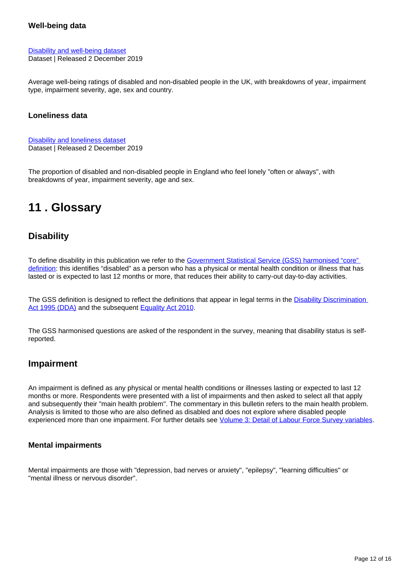### **Well-being data**

[Disability and well-being dataset](https://www.ons.gov.uk/peoplepopulationandcommunity/healthandsocialcare/disability/datasets/disabilityandwellbeing) Dataset | Released 2 December 2019

Average well-being ratings of disabled and non-disabled people in the UK, with breakdowns of year, impairment type, impairment severity, age, sex and country.

### **Loneliness data**

[Disability and loneliness dataset](https://www.ons.gov.uk/peoplepopulationandcommunity/healthandsocialcare/disability/datasets/disabilityandloneliness) Dataset | Released 2 December 2019

The proportion of disabled and non-disabled people in England who feel lonely "often or always", with breakdowns of year, impairment severity, age and sex.

# <span id="page-11-0"></span>**11 . Glossary**

## **Disability**

To define disability in this publication we refer to the Government Statistical Service (GSS) harmonised "core" [definition](https://gss.civilservice.gov.uk/policy-store/measuring-disability-for-the-equality-act-2010/): this identifies "disabled" as a person who has a physical or mental health condition or illness that has lasted or is expected to last 12 months or more, that reduces their ability to carry-out day-to-day activities.

The GSS definition is designed to reflect the definitions that appear in legal terms in the Disability Discrimination [Act 1995 \(DDA\)](http://www.legislation.gov.uk/ukpga/1995/50/contents) and the subsequent [Equality Act 2010](http://www.legislation.gov.uk/ukpga/2010/15/section/6).

The GSS harmonised questions are asked of the respondent in the survey, meaning that disability status is selfreported.

## **Impairment**

An impairment is defined as any physical or mental health conditions or illnesses lasting or expected to last 12 months or more. Respondents were presented with a list of impairments and then asked to select all that apply and subsequently their "main health problem". The commentary in this bulletin refers to the main health problem. Analysis is limited to those who are also defined as disabled and does not explore where disabled people experienced more than one impairment. For further details see [Volume 3: Detail of Labour Force Survey variables](https://www.ons.gov.uk/employmentandlabourmarket/peopleinwork/employmentandemployeetypes/methodologies/labourforcesurveyuserguidance).

### **Mental impairments**

Mental impairments are those with "depression, bad nerves or anxiety", "epilepsy", "learning difficulties" or "mental illness or nervous disorder".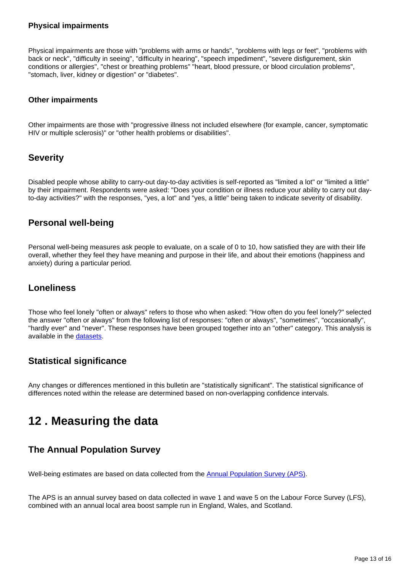### **Physical impairments**

Physical impairments are those with "problems with arms or hands", "problems with legs or feet", "problems with back or neck", "difficulty in seeing", "difficulty in hearing", "speech impediment", "severe disfigurement, skin conditions or allergies", "chest or breathing problems" "heart, blood pressure, or blood circulation problems", "stomach, liver, kidney or digestion" or "diabetes".

### **Other impairments**

Other impairments are those with "progressive illness not included elsewhere (for example, cancer, symptomatic HIV or multiple sclerosis)" or "other health problems or disabilities".

## **Severity**

Disabled people whose ability to carry-out day-to-day activities is self-reported as "limited a lot" or "limited a little" by their impairment. Respondents were asked: "Does your condition or illness reduce your ability to carry out dayto-day activities?" with the responses, "yes, a lot" and "yes, a little" being taken to indicate severity of disability.

## **Personal well-being**

Personal well-being measures ask people to evaluate, on a scale of 0 to 10, how satisfied they are with their life overall, whether they feel they have meaning and purpose in their life, and about their emotions (happiness and anxiety) during a particular period.

### **Loneliness**

Those who feel lonely "often or always" refers to those who when asked: "How often do you feel lonely?" selected the answer "often or always" from the following list of responses: "often or always", "sometimes", "occasionally", "hardly ever" and "never". These responses have been grouped together into an "other" category. This analysis is available in the [datasets](https://www.ons.gov.uk/peoplepopulationandcommunity/healthandsocialcare/disability/bulletins/disabilitywellbeingandlonelinessuk/2019/relateddata).

## **Statistical significance**

Any changes or differences mentioned in this bulletin are "statistically significant". The statistical significance of differences noted within the release are determined based on non-overlapping confidence intervals.

# <span id="page-12-0"></span>**12 . Measuring the data**

## **The Annual Population Survey**

Well-being estimates are based on data collected from the [Annual Population Survey \(APS\)](https://www.ons.gov.uk/employmentandlabourmarket/peopleinwork/employmentandemployeetypes/methodologies/annualpopulationsurveyapsqmi).

The APS is an annual survey based on data collected in wave 1 and wave 5 on the Labour Force Survey (LFS), combined with an annual local area boost sample run in England, Wales, and Scotland.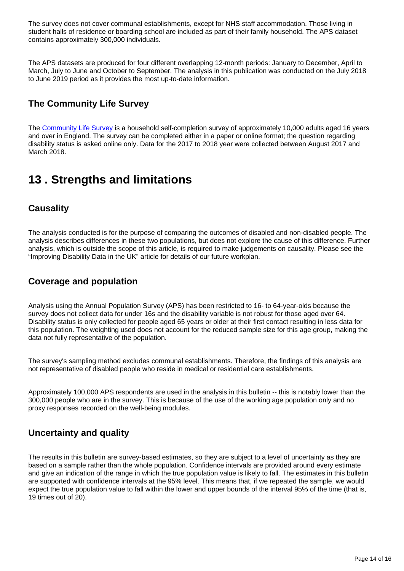The survey does not cover communal establishments, except for NHS staff accommodation. Those living in student halls of residence or boarding school are included as part of their family household. The APS dataset contains approximately 300,000 individuals.

The APS datasets are produced for four different overlapping 12-month periods: January to December, April to March, July to June and October to September. The analysis in this publication was conducted on the July 2018 to June 2019 period as it provides the most up-to-date information.

## **The Community Life Survey**

The [Community Life Survey](https://www.gov.uk/government/collections/community-life-survey--2) is a household self-completion survey of approximately 10,000 adults aged 16 years and over in England. The survey can be completed either in a paper or online format; the question regarding disability status is asked online only. Data for the 2017 to 2018 year were collected between August 2017 and March 2018.

# <span id="page-13-0"></span>**13 . Strengths and limitations**

## **Causality**

The analysis conducted is for the purpose of comparing the outcomes of disabled and non-disabled people. The analysis describes differences in these two populations, but does not explore the cause of this difference. Further analysis, which is outside the scope of this article, is required to make judgements on causality. Please see the "Improving Disability Data in the UK" article for details of our future workplan.

## **Coverage and population**

Analysis using the Annual Population Survey (APS) has been restricted to 16- to 64-year-olds because the survey does not collect data for under 16s and the disability variable is not robust for those aged over 64. Disability status is only collected for people aged 65 years or older at their first contact resulting in less data for this population. The weighting used does not account for the reduced sample size for this age group, making the data not fully representative of the population.

The survey's sampling method excludes communal establishments. Therefore, the findings of this analysis are not representative of disabled people who reside in medical or residential care establishments.

Approximately 100,000 APS respondents are used in the analysis in this bulletin -- this is notably lower than the 300,000 people who are in the survey. This is because of the use of the working age population only and no proxy responses recorded on the well-being modules.

## **Uncertainty and quality**

The results in this bulletin are survey-based estimates, so they are subject to a level of uncertainty as they are based on a sample rather than the whole population. Confidence intervals are provided around every estimate and give an indication of the range in which the true population value is likely to fall. The estimates in this bulletin are supported with confidence intervals at the 95% level. This means that, if we repeated the sample, we would expect the true population value to fall within the lower and upper bounds of the interval 95% of the time (that is, 19 times out of 20).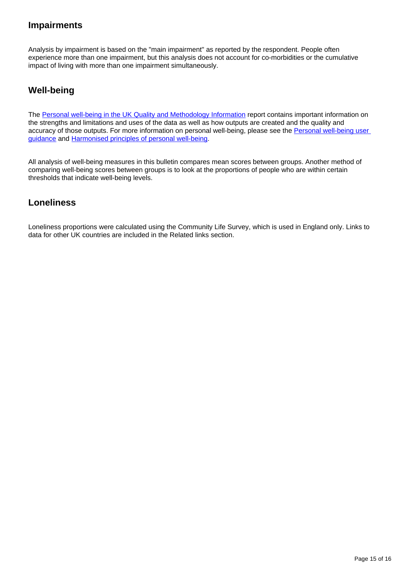## **Impairments**

Analysis by impairment is based on the "main impairment" as reported by the respondent. People often experience more than one impairment, but this analysis does not account for co-morbidities or the cumulative impact of living with more than one impairment simultaneously.

## **Well-being**

The [Personal well-being in the UK Quality and Methodology Information](https://www.ons.gov.uk/peoplepopulationandcommunity/wellbeing/methodologies/personalwellbeingintheukqmi) report contains important information on the strengths and limitations and uses of the data as well as how outputs are created and the quality and accuracy of those outputs. For more information on personal well-being, please see the Personal well-being user [guidance](https://www.ons.gov.uk/peoplepopulationandcommunity/wellbeing/methodologies/personalwellbeingsurveyuserguide) and [Harmonised principles of personal well-being](https://gss.civilservice.gov.uk/guidances/harmonisation/0-harmonised-principles/personal-well-being/).

All analysis of well-being measures in this bulletin compares mean scores between groups. Another method of comparing well-being scores between groups is to look at the proportions of people who are within certain thresholds that indicate well-being levels.

## **Loneliness**

Loneliness proportions were calculated using the Community Life Survey, which is used in England only. Links to data for other UK countries are included in the Related links section.